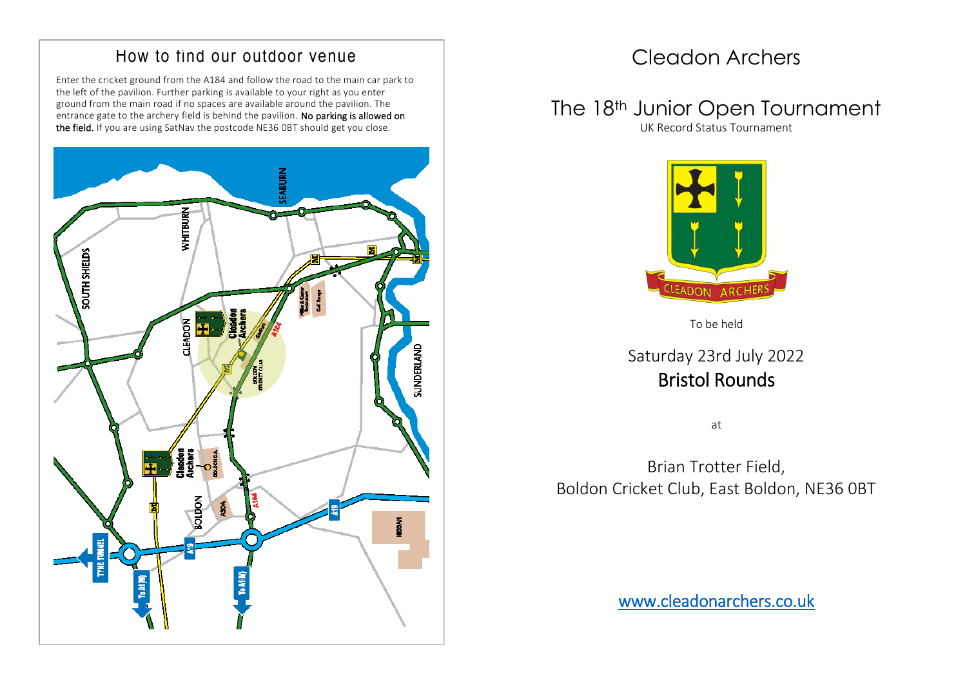#### How to find our outdoor venue

Enter the cricket ground from the A184 and follow the road to the main car park to the left of the pavilion. Further parking is available to your right as you enter ground from the main road if no spaces are available around the pavilion. The entrance gate to the archery field is behind the pavilion. No parking is allowed on the field. If you are using SatNav the postcode NE36 0BT should get you close.



## Cleadon Archers

## The 18<sup>th</sup> Junior Open Tournament

UK Record Status Tournament



To be held

#### Saturday 23rd July 2022 Bristol Rounds

at

Brian Trotter Field, Boldon Cricket Club, East Boldon, NE36 0BT

www.cleadonarchers.co.uk